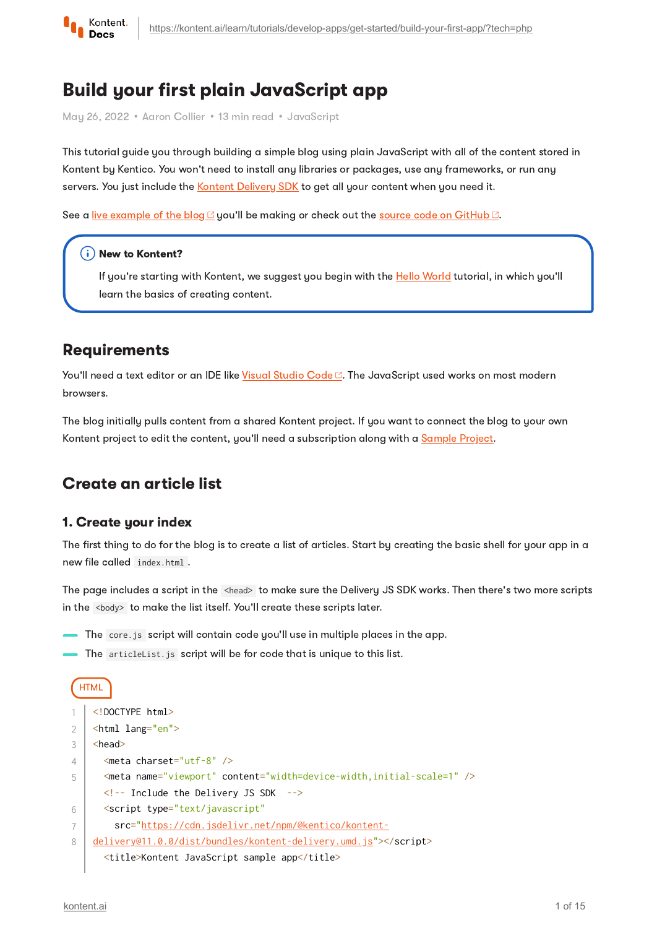

# Build your first plain JavaScript app

May 26, 2022 • Aaron Collier • 13 min read • JavaScript

This tutorial guide you through building a simple blog using plain JavaScript with all of the content stored in Kontent by Kentico. You won't need to install any libraries or packages, use any frameworks, or run any servers. You just include the Kontent [Delivery](https://kontent.ai/learn/tutorials/develop-apps/overview/?tech=javascript) SDK to get all your content when you need it.

See a live [example](https://kentico.github.io/kontent-tutorial-plain-javascript/) of the blog  $\mathbb{C}$  you'll be making or check out the source code on [GitHub](https://github.com/Kentico/kontent-tutorial-plain-javascript)  $\mathbb{C}$ .

#### $(i)$  New to Kontent?

If you're starting with Kontent, we suggest you begin with the **Hello [World](https://kontent.ai/learn/tutorials/develop-apps/get-started/hello-world/)** tutorial, in which you'll learn the basics of creating content.

## **Requirements**

You'll need a text editor or an IDE like Visual [Studio](https://code.visualstudio.com/) Code<sup>n</sup>. The JavaScript used works on most modern browsers.

The blog initially pulls content from a shared Kontent project. If you want to connect the blog to your own Kontent project to edit the content, you'll need a subscription along with a [Sample](https://kontent.ai/learn/tutorials/manage-kontent/projects/manage-projects/#a-create-a-sample-project) Project.

## Create an article list

#### 1. Create your index

The first thing to do for the blog is to create a list of articles. Start by creating the basic shell for your app in a new file called index.html .

The page includes a script in the <head> to make sure the Delivery JS SDK works. Then there's two more scripts in the <body> to make the list itself. You'll create these scripts later.

- The core.js script will contain code you'll use in multiple places in the app.
- The articleList.js script will be for code that is unique to this list.

```
HTML
    <!DOCTYPE html>
    <html lang="en">
    <head>
       <meta charset="utf-8" />
       <meta name="viewport" content="width=device-width,initial-scale=1" />
       <!-- Include the Delivery JS SDK -->
       <script type="text/javascript"
         src="https://cdn.jsdelivr.net/npm/@kentico/kontent-
    delivery@11.0.0/dist/bundles/kontent-delivery.umd.js"></script>
       <title>Kontent JavaScript sample app</title>
1
2
3
\Delta5
6
7
8
```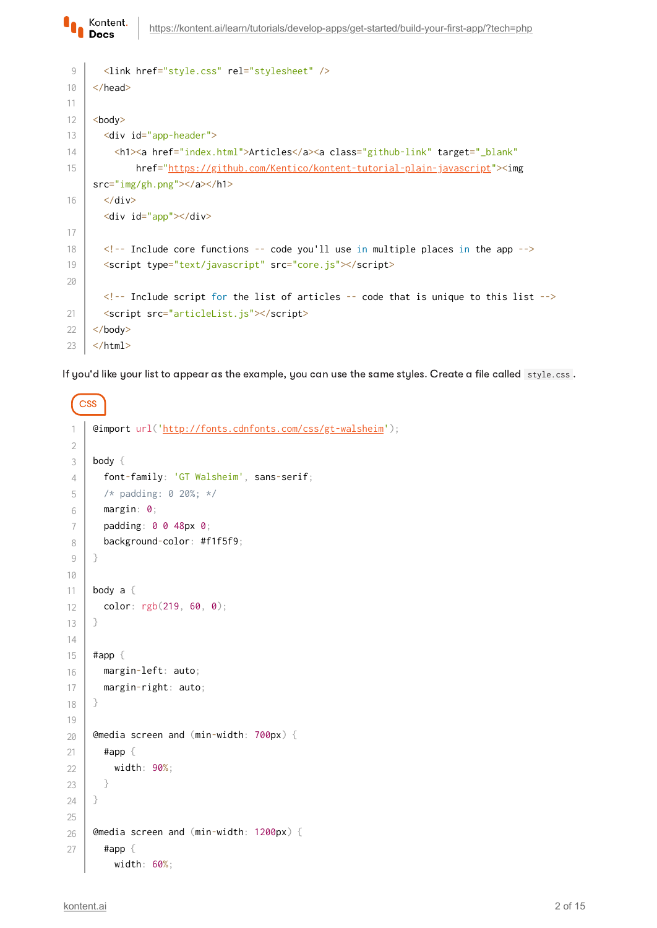```
 <link href="style.css" rel="stylesheet" />
     </head>
     <body>
        <div id="app-header">
         <h1><a href="index.html">Articles</a>><a class="github-link" target="_blank"
               href="https://github.com/Kentico/kontent-tutorial-plain-javascript"><img
     src="img/gh.png"></a></h1>
       \langle/div\rangle <div id="app"></div>
       \langle!-- Include core functions -- code you'll use in multiple places in the app -->
        <script type="text/javascript" src="core.js"></script>
       \langle!-- Include script for the list of articles -- code that is unique to this list -->
        <script src="articleList.js"></script>
     </body>
     </html>
 9
10
11
12
13
14
15
16
17
18
19
20
21
22
23
```
If you'd like your list to appear as the example, you can use the same styles. Create a file called style.css .

```
CSS
     @import url('http://fonts.cdnfonts.com/css/gt-walsheim');
     body {
        font-family: 'GT Walsheim', sans-serif;
        /* padding: 0 20%; */
        margin: 0;
        padding: 0 0 48px 0;
        background-color: #f1f5f9;
     }
     body a {
        color: rgb(219, 60, 0);
     }
     #app {
        margin-left: auto;
        margin-right: auto;
     }
     @media screen and (min-width: 700px) {
        #app {
          width: 90%;
        }
     }
     @media screen and (min-width: 1200px) {
        #app {
          width: 60%;
 1
2
3
4
5
6
 7
8
9
10
11
12
13
14
15
16
17
18
19
20
21
22
23
24
25
26
27
```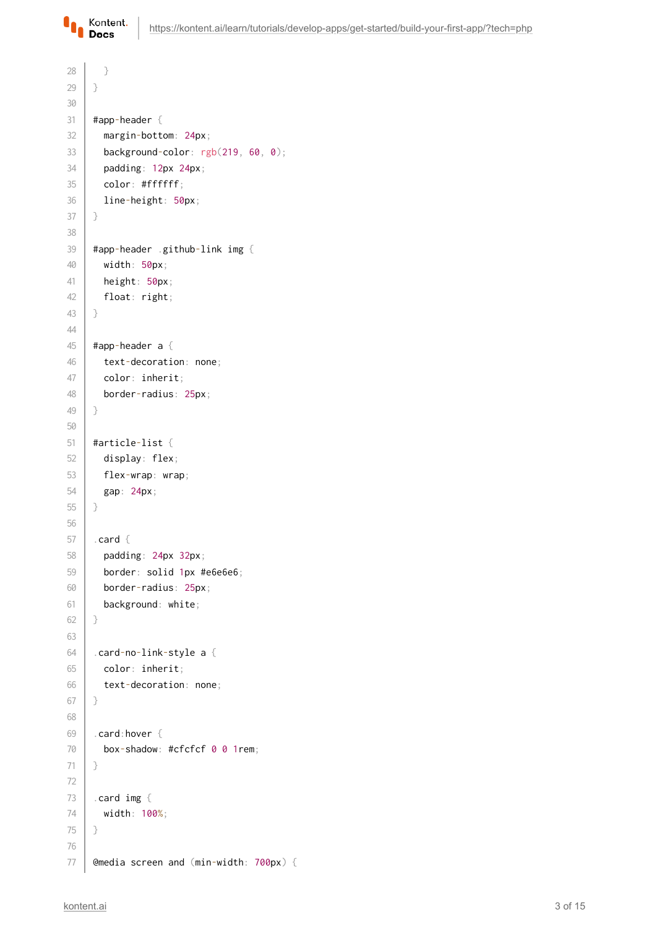

```
 }
     }
     #app-header {
        margin-bottom: 24px;
        background-color: rgb(219, 60, 0);
        padding: 12px 24px;
        color: #ffffff;
        line-height: 50px;
     }
     #app-header .github-link img {
        width: 50px;
        height: 50px;
        float: right;
     }
     #app-header a {
        text-decoration: none;
        color: inherit;
        border-radius: 25px;
     }
     #article-list {
        display: flex;
        flex-wrap: wrap;
        gap: 24px;
     }
     .card {
        padding: 24px 32px;
        border: solid 1px #e6e6e6;
        border-radius: 25px;
        background: white;
     }
     .card-no-link-style a {
        color: inherit;
        text-decoration: none;
     }
     .card:hover {
        box-shadow: #cfcfcf 0 0 1rem;
     }
     .card img {
        width: 100%;
     }
     @media screen and (min-width: 700px) {
28
29
30
31
32
33
34
35
36
37
38
39
40
41
42
43
44
45
46
47
48
49
50
51
52
53
54
55
56
57
58
59
60
61
62
63
64
65
66
67
68
69
70
71
72
73
74
75
76
77
```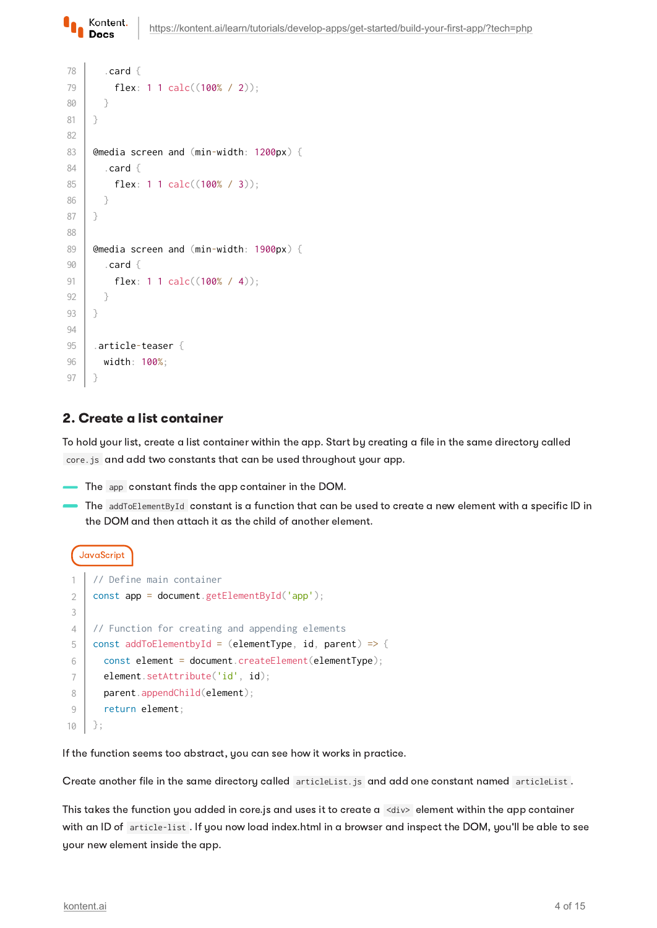```
 .card {
           flex: 1 1 calc((100% / 2));
        }
     }
     @media screen and (min-width: 1200px) {
         .card {
           flex: 1 1 calc((100% / 3));
        }
     }
     @media screen and (min-width: 1900px) {
         .card {
           flex: 1 1 calc((100% / 4));
        }
     }
     .article-teaser {
        width: 100%;
     }
78
79
80
81
82
83
84
85
86
87
88
89
90
91
92
93
94
95
96
97
```
#### 2. Create a list container

Kontent. **Docs** 

To hold your list, create a list container within the app. Start by creating a file in the same directory called core.js and add two constants that can be used throughout your app.

- The app constant finds the app container in the DOM.
- The addToElementById constant is a function that can be used to create a new element with a specific ID in the DOM and then attach it as the child of another element.

```
JavaScript
```

```
// Define main container
    const app = document.getElementById('app');
    // Function for creating and appending elements
    const addToElementbyId = (elementType, id, parent) => {
      const element = document.createElement(elementType);
       element.setAttribute('id', id);
      parent.appendChild(element);
        return element;
    };
1
2
3
\Delta5
6
7
8
9
10
```
If the function seems too abstract, you can see how it works in practice.

Create another file in the same directory called articleList.js and add one constant named articleList .

This takes the function you added in core.js and uses it to create a <div> element within the app container with an ID of article-list . If you now load index.html in a browser and inspect the DOM, you'll be able to see your new element inside the app.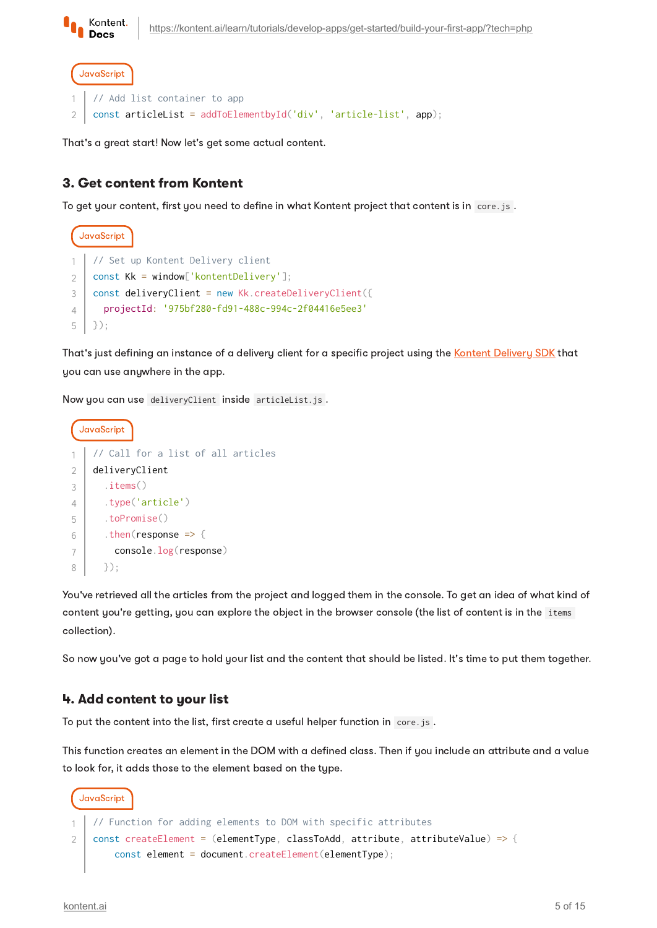

```
JavaScript
    // Add list container to app
    const articleList = addToElementbyId('div', 'article-list', app);
1
2
```
That's a great start! Now let's get some actual content.

### 3. Get content from Kontent

To get your content, first you need to define in what Kontent project that content is in core.js .

```
JavaScript
    // Set up Kontent Delivery client
    const Kk = window['kontentDelivery'];
    const deliveryClient = new Kk.createDeliveryClient({
       projectId: '975bf280-fd91-488c-994c-2f04416e5ee3'
    });
1
2
3
4
5
```
That's just defining an instance of a delivery client for a specific project using the Kontent [Delivery](https://kontent.ai/learn/tutorials/develop-apps/overview/?tech=javascript#a-delivery-api) SDK that you can use anywhere in the app.

Now you can use deliveryClient inside articleList.js .



You've retrieved all the articles from the project and logged them in the console. To get an idea of what kind of content you're getting, you can explore the object in the browser console (the list of content is in the items collection).

So now you've got a page to hold your list and the content that should be listed. It's time to put them together.

#### 4. Add content to your list

To put the content into the list, first create a useful helper function in core.js.

This function creates an element in the DOM with a defined class. Then if you include an attribute and a value to look for, it adds those to the element based on the type.

```
JavaScript
   // Function for adding elements to DOM with specific attributes
    const createElement = (elementType, classToAdd, attribute, attributeValue) => {
        const element = document.createElement(elementType);
1
2
```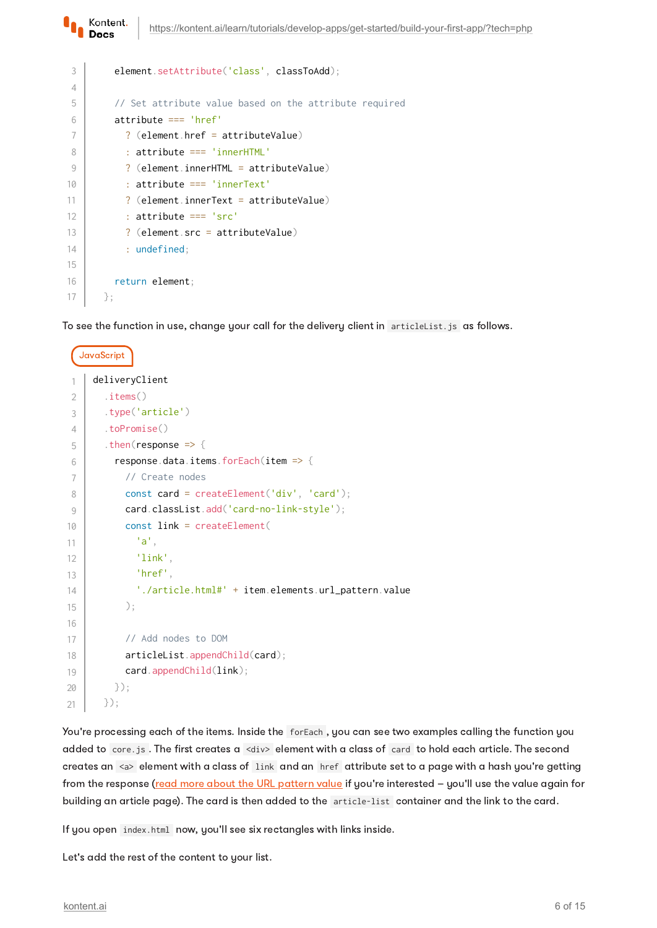| 3              | element.setAttribute('class', classToAdd);             |
|----------------|--------------------------------------------------------|
| $\overline{4}$ |                                                        |
| 5              | // Set attribute value based on the attribute required |
| 6              | $attribute == 'href'$                                  |
| 7              | $?$ (element href = attributeValue)                    |
| 8              | : attribute $==$ 'innerHTML'                           |
| 9              | $?$ (element.innerHTML = attributeValue)               |
| 10             | : attribute === $'innerText'$                          |
| 11             | $?$ (element innerText = attributeValue)               |
| 12             | $:$ attribute $==$ 'src'                               |
| 13             | $?$ (element src = attributeValue)                     |
| 14             | $:$ undefined;                                         |
| 15             |                                                        |
| 16             | return element;                                        |
| 17             | $\}$ ;                                                 |

Kontent. Docs

To see the function in use, change your call for the delivery client in articleList.js as follows.

```
JavaScript
     deliveryClient
         .items()
        .type('article')
        .toPromise()
        .then(response => {
          response.data.items.forEach(item => {
             // Create nodes
            const card = createElement('div', 'card');
             card.classList.add('card-no-link-style');
             const link = createElement(
               'a',
               'link',
               'href',
               './article.html#' + item.elements.url_pattern.value
             );
             // Add nodes to DOM
             articleList.appendChild(card);
            card.appendChild(link);
          });
        });
 1
 2
 3
 4
5
6
 7
8
9
10
11
12
13
14
15
16
17
18
19
2021
```
You're processing each of the items. Inside the forEach , you can see two examples calling the function you added to core.js. The first creates a <div> element with a class of card to hold each article. The second creates an <a> element with a class of link and an href attribute set to a page with a hash you're getting from the response (read more about the URL [pattern](https://kontent.ai/learn/tutorials/develop-apps/optimize-your-app/seo-friendly-urls/) value if you're interested - you'll use the value again for building an article page). The card is then added to the article-list container and the link to the card.

If you open index.html now, you'll see six rectangles with links inside.

Let's add the rest of the content to your list.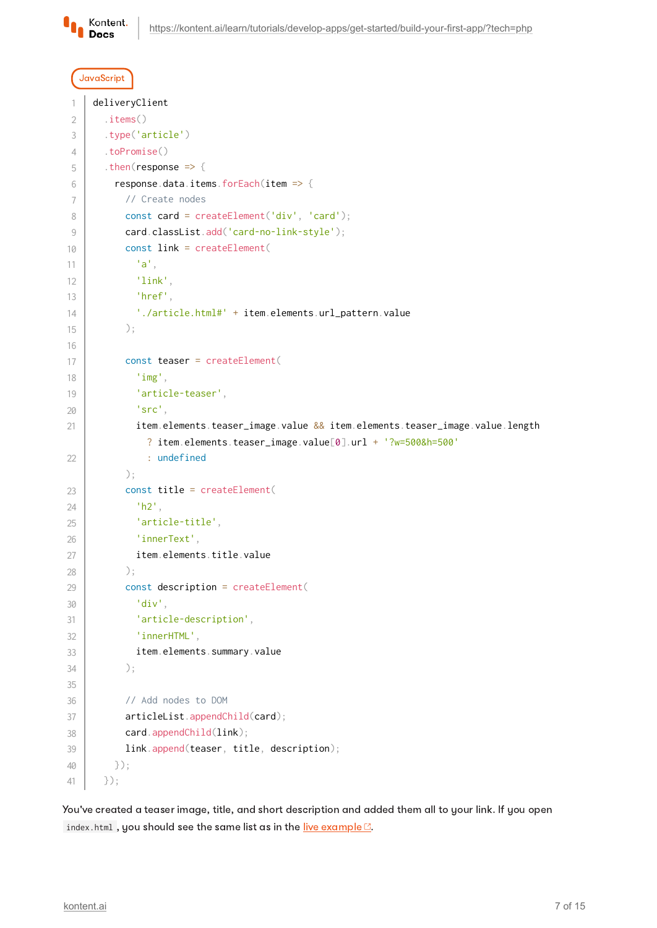

#### JavaScript

```
deliveryClient
        .items()
        .type('article')
        .toPromise()
       . then(response => {
          response.data.items.forEach(item => {
             // Create nodes
            const card = createElement('div', 'card');
             card.classList.add('card-no-link-style');
             const link = createElement(
               'a',
               'link',
               'href',
               './article.html#' + item.elements.url_pattern.value
            );
             const teaser = createElement(
               'img',
               'article-teaser',
               'src',
               item.elements.teaser_image.value && item.elements.teaser_image.value.length
                 ? item.elements.teaser_image.value[0].url + '?w=500&h=500'
                 : undefined
            );
            const title = createElement(
               'h2',
               'article-title',
               'innerText',
               item.elements.title.value
            );
             const description = createElement(
               'div',
               'article-description',
               'innerHTML',
               item.elements.summary.value
            );
             // Add nodes to DOM
            articleList.appendChild(card);
             card.appendChild(link);
            link.append(teaser, title, description);
          });
        });
 1
2
 3
4
5
6
 7
8
9
10
11
12
13
14
15
16
17
18
19
20
21
2223
24
25
26
27
28
29
30
31
32
33
34
35
36
37
38
39
40
41
```
You've created a teaser image, title, and short description and added them all to your link. If you open index.html, you should see the same list as in the live [example](https://kentico.github.io/kontent-tutorial-plain-javascript/)  $\mathbb{C}$ .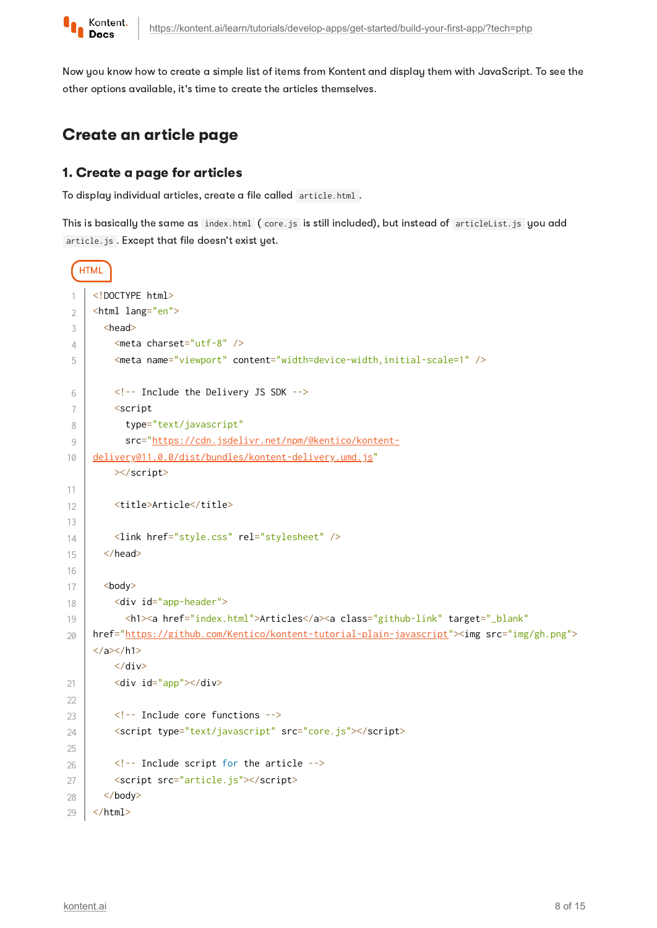

Now you know how to create a simple list of items from Kontent and display them with JavaScript. To see the other options available, it's time to create the articles themselves.

# Create an article page

#### 1. Create a page for articles

To display individual articles, create a file called article.html .

This is basically the same as index.html (core.js is still included), but instead of articleList.js you add article.js . Except that file doesn't exist yet.

```
HTML
     <!DOCTYPE html>
     <html lang="en">
       <head>
          <meta charset="utf-8" />
          <meta name="viewport" content="width=device-width,initial-scale=1" />
          <!-- Include the Delivery JS SDK -->
          <script
            type="text/javascript"
            src="https://cdn.jsdelivr.net/npm/@kentico/kontent-
     delivery@11.0.0/dist/bundles/kontent-delivery.umd.js"
          ></script>
         <title>Article</title>
          <link href="style.css" rel="stylesheet" />
        </head>
        <body>
          <div id="app-header">
            <h1><a href="index.html">Articles</a><a class="github-link" target="_blank"
     href="https://github.com/Kentico/kontent-tutorial-plain-javascript"><img src="img/gh.png">
     </a></h1>\langlediv\rangle <div id="app"></div>
          <!-- Include core functions -->
          <script type="text/javascript" src="core.js"></script>
          <!-- Include script for the article -->
          <script src="article.js"></script>
        </body>
     </html>
 1
 2
 3
4
5
6
 7
8
9
10
11
12
13
14
15
16
17
18
19
20
21
2223
24
25
26
27
28
29
```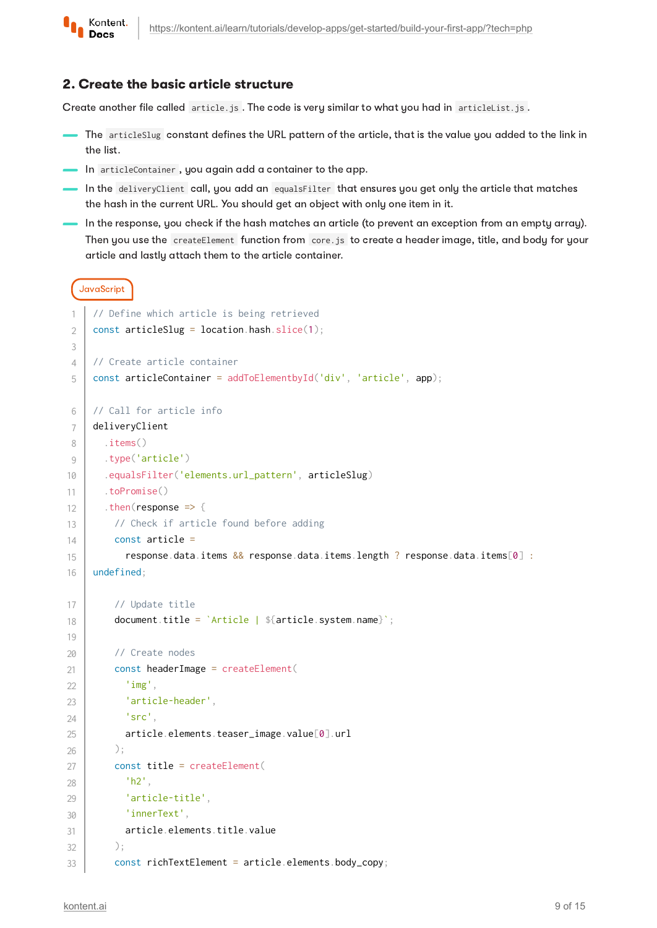

#### 2. Create the basic article structure

Create another file called article.js . The code is very similar to what you had in articleList.js.

- The articleSlug constant defines the URL pattern of the article, that is the value you added to the link in the list.
- In articleContainer, you again add a container to the app.
- $\blacksquare$  In the deliveryClient call, you add an equalsFilter that ensures you get only the article that matches the hash in the current URL. You should get an object with only one item in it.
- In the response, you check if the hash matches an article (to prevent an exception from an empty array). Then you use the createElement function from core.js to create a header image, title, and body for your article and lastly attach them to the article container.

```
JavaScript
```

```
// Define which article is being retrieved
     const articleSlug = location.hash.slice(1);
     // Create article container
     const articleContainer = addToElementbyId('div', 'article', app);
     // Call for article info
     deliveryClient
        .items()
        .type('article')
        .equalsFilter('elements.url_pattern', articleSlug)
        .toPromise()
       . then(response => {
          // Check if article found before adding
          const article =
            response.data.items && response.data.items.length ? response.data.items[0] :
     undefined;
          // Update title
         document.title = \intArticle | ${article.system.name}';
          // Create nodes
          const headerImage = createElement(
            'img',
            'article-header',
            'src',
            article.elements.teaser_image.value[0].url
          );
          const title = createElement(
            'h2',
             'article-title',
            'innerText',
            article.elements.title.value
          );
          const richTextElement = article.elements.body_copy;
 1
2
 3
4
5
6
7
8
9
10
11
12
13
14
15
16
17
18
19
20
21
22
23
24
25
26
27
28
29
30
31
32
33
```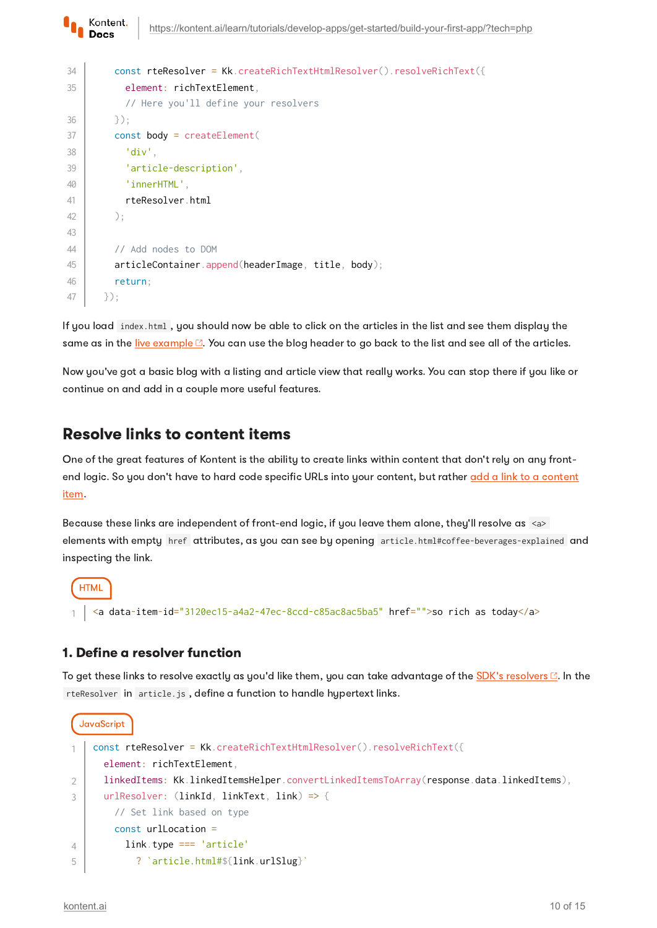```
 const rteResolver = Kk.createRichTextHtmlResolver().resolveRichText({
             element: richTextElement,
             // Here you'll define your resolvers
          });
          const body = createElement(
             'div',
             'article-description',
             'innerHTML',
             rteResolver.html
          );
          // Add nodes to DOM
          articleContainer.append(headerImage, title, body);
          return;
        });
34
35
36
37
38
39
40
41
42
43
\DeltaA
45
46
47
```
If you load index.html , you should now be able to click on the articles in the list and see them display the same as in the <u>live [example](https://kentico.github.io/kontent-tutorial-plain-javascript/) a</u>. You can use the blog header to go back to the list and see all of the articles.

Now you've got a basic blog with a listing and article view that really works. You can stop there if you like or continue on and add in a couple more useful features.

## Resolve links to content items

Kontent. **Docs** 

One of the great features of Kontent is the ability to create links within content that don't rely on any frontend logic. So you don't have to hard code specific URLs into your [content,](https://kontent.ai/learn/tutorials/write-and-collaborate/create-content/compose-content-in-rich-text/#a-adding-links) but rather add a link to a content item.

Because these links are independent of front-end logic, if you leave them alone, they'll resolve as <a> elements with empty href attributes, as you can see by opening article.html#coffee-beverages-explained and inspecting the link.

```
HTML
  <a data-item-id="3120ec15-a4a2-47ec-8ccd-c85ac8ac5ba5" href="">so rich as today</a>
```
#### 1. Define a resolver function

To get these links to resolve exactly as you'd like them, you can take advantage of the  $SDK$ 's [resolvers](https://github.com/Kentico/kontent-delivery-sdk-js#resolving-rich-text-elements)  $\mathbb{C}$ . In the rteResolver in article.js , define a function to handle hypertext links.

```
JavaScript
    const rteResolver = Kk.createRichTextHtmlResolver().resolveRichText({
       element: richTextElement,
       linkedItems: Kk.linkedItemsHelper.convertLinkedItemsToArray(response.data.linkedItems),
       urlResolver: (linkId, linkText, link) => {
         // Set link based on type
         const urlLocation =
           link.type === 'article'
             ? `article.html#${link.urlSlug}`
1
2
3
4
5
```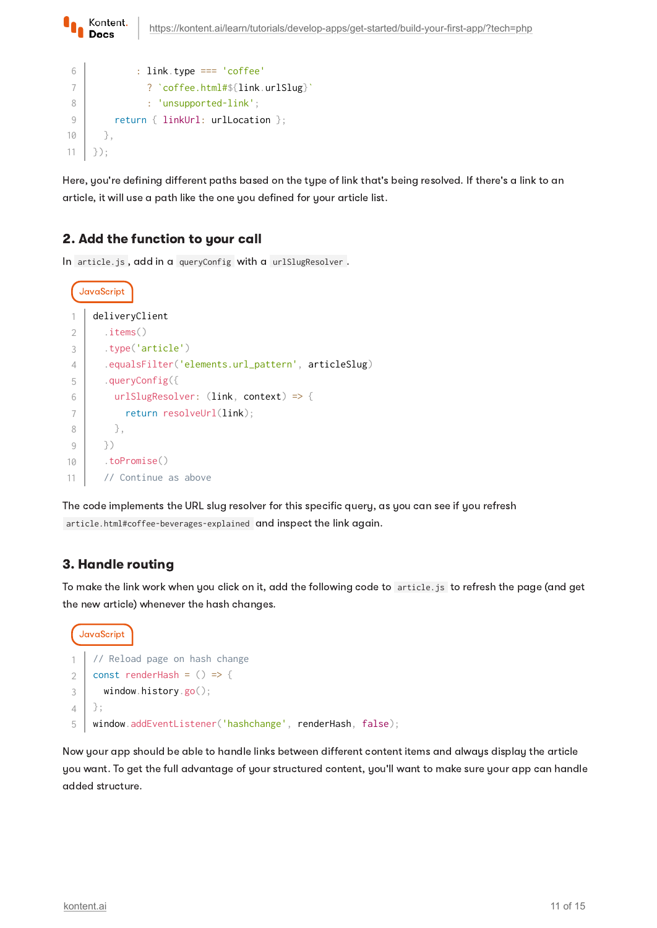```
Kontent.
                https://kontent.ai/learn/tutorials/develop-apps/get-started/build-your-first-app/?tech=php
   Docs
6
               : link.type === 'coffee'
7
                 ? `coffee.html#${link.urlSlug}`
8
                 : 'unsupported-link';
9
          return { linkUrl: urlLocation };
```
Here, you're defining different paths based on the type of link that's being resolved. If there's a link to an article, it will use a path like the one you defined for your article list.

## 2. Add the function to your call

 }, });

10 11

In article.js , add in a queryConfig with a urlSlugResolver .

```
JavaScript
     deliveryClient
         .items()
         .type('article')
         .equalsFilter('elements.url_pattern', articleSlug)
        .queryConfig({
          urlSlugResolver: (link, context) => {
             return resolveUrl(link);
           },
        })
        .toPromise()
        // Continue as above
1
\mathcal{L}3
4
5
6
 7
8
9
10
11
```
The code implements the URL slug resolver for this specific query, as you can see if you refresh article.html#coffee-beverages-explained and inspect the link again.

## 3. Handle routing

To make the link work when you click on it, add the following code to article.js to refresh the page (and get the new article) whenever the hash changes.

```
JavaScript
    // Reload page on hash change
    const renderHash = () => {
       window.history.go();
    };
    window.addEventListener('hashchange', renderHash, false);
1
2
3
4
5
```
Now your app should be able to handle links between different content items and always display the article you want. To get the full advantage of your structured content, you'll want to make sure your app can handle added structure.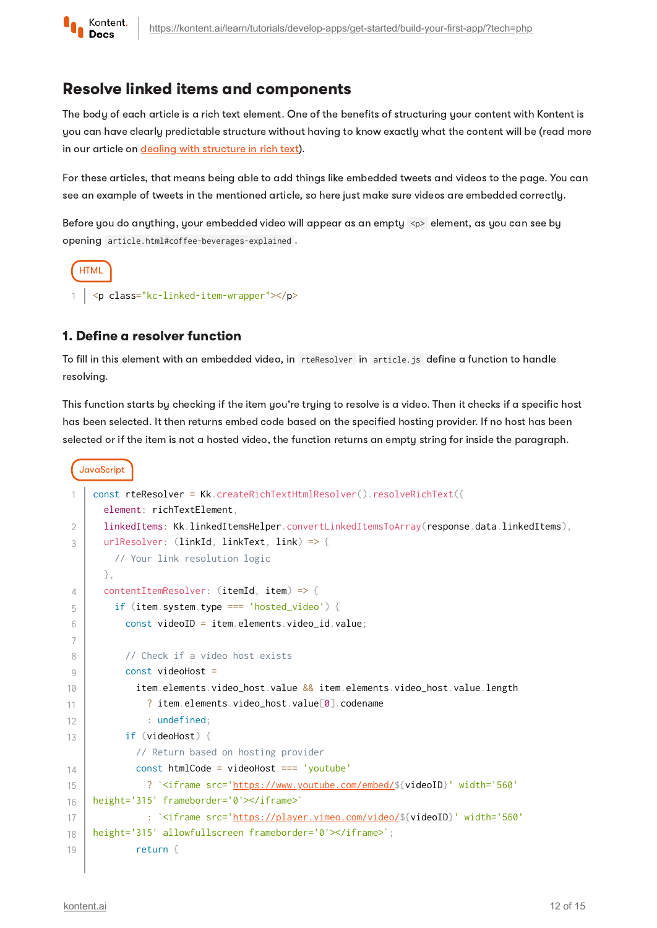

## Resolve linked items and components

The body of each article is a rich text element. One of the benefits of structuring your content with Kontent is you can have clearly predictable structure without having to know exactly what the content will be (read more in our article on dealing with [structure](https://kontent.ai/learn/tutorials/develop-apps/get-content/structured-rich-text/) in rich text).

For these articles, that means being able to add things like embedded tweets and videos to the page. You can see an example of tweets in the mentioned article, so here just make sure videos are embedded correctly.

Before you do anything, your embedded video will appear as an empty <p> element, as you can see by opening article.html#coffee-beverages-explained .



#### 1. Define a resolver function

To fill in this element with an embedded video, in rteResolver in article. js define a function to handle resolving.

This function starts by checking if the item you're trying to resolve is a video. Then it checks if a specific host has been selected. It then returns embed code based on the specified hosting provider. If no host has been selected or if the item is not a hosted video, the function returns an empty string for inside the paragraph.

```
JavaScript
     const rteResolver = Kk.createRichTextHtmlResolver().resolveRichText({
        element: richTextElement,
        linkedItems: Kk.linkedItemsHelper.convertLinkedItemsToArray(response.data.linkedItems),
        urlResolver: (linkId, linkText, link) => {
          // Your link resolution logic
        },
        contentItemResolver: (itemId, item) => {
          if (item.system.type === 'hosted_video') {
            const videoID = item.elements.video_id.value;
            // Check if a video host exists
            const videoHost =
              item.elements.video_host.value && item.elements.video_host.value.length
               ? item.elements.video_host.value[0].codename
                : undefined;
            if (videoHost) {
              // Return based on hosting provider
              const htmlCode = videoHost === 'youtube'
                ? `<iframe src='https://www.youtube.com/embed/${videoID}' width='560'
     height='315' frameborder='0'></iframe>`
                : `<iframe src='https://player.vimeo.com/video/${videoID}' width='560'
     height='315' allowfullscreen frameborder='0'></iframe>`;
              return {
1
\mathfrak{D}3
4
5
6
7
8
9
10
11
12
13
14
15
16
17
18
19
```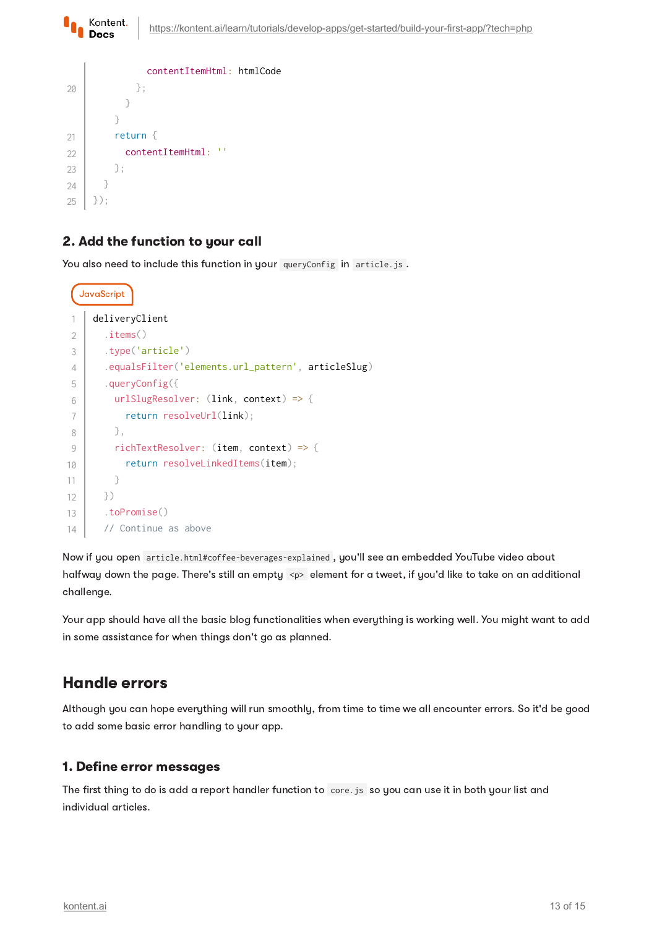| $\}$ ;<br>20<br>return $\{$<br>21<br>- 11<br>contentItemHtml:<br>22<br>23<br>$\}$ ; |    | contentItemHtml: htmlCode |  |
|-------------------------------------------------------------------------------------|----|---------------------------|--|
|                                                                                     |    |                           |  |
|                                                                                     |    |                           |  |
|                                                                                     |    |                           |  |
|                                                                                     |    |                           |  |
|                                                                                     |    |                           |  |
|                                                                                     |    |                           |  |
|                                                                                     | 24 |                           |  |
| 25<br>$\ddot{\cdot}$                                                                |    |                           |  |

Kontent. Docs

#### 2. Add the function to your call

You also need to include this function in your queryConfig in article.js.

```
JavaScript
     deliveryClient
        .items()
        .type('article')
        .equalsFilter('elements.url_pattern', articleSlug)
        .queryConfig({
          urlSlugResolver: (link, context) => {
            return resolveUrl(link);
          },
          richTextResolver: (item, context) => {
            return resolveLinkedItems(item);
          }
        })
        .toPromise()
        // Continue as above
1
2
3
4
5
6
7
8
9
10
11
12
13
14
```
Now if you open article.html#coffee-beverages-explained , you'll see an embedded YouTube video about halfway down the page. There's still an empty <p> element for a tweet, if you'd like to take on an additional challenge.

Your app should have all the basic blog functionalities when everything is working well. You might want to add in some assistance for when things don't go as planned.

## Handle errors

Although you can hope everything will run smoothly, from time to time we all encounter errors. So it'd be good to add some basic error handling to your app.

#### 1. Define error messages

The first thing to do is add a report handler function to core.js so you can use it in both your list and individual articles.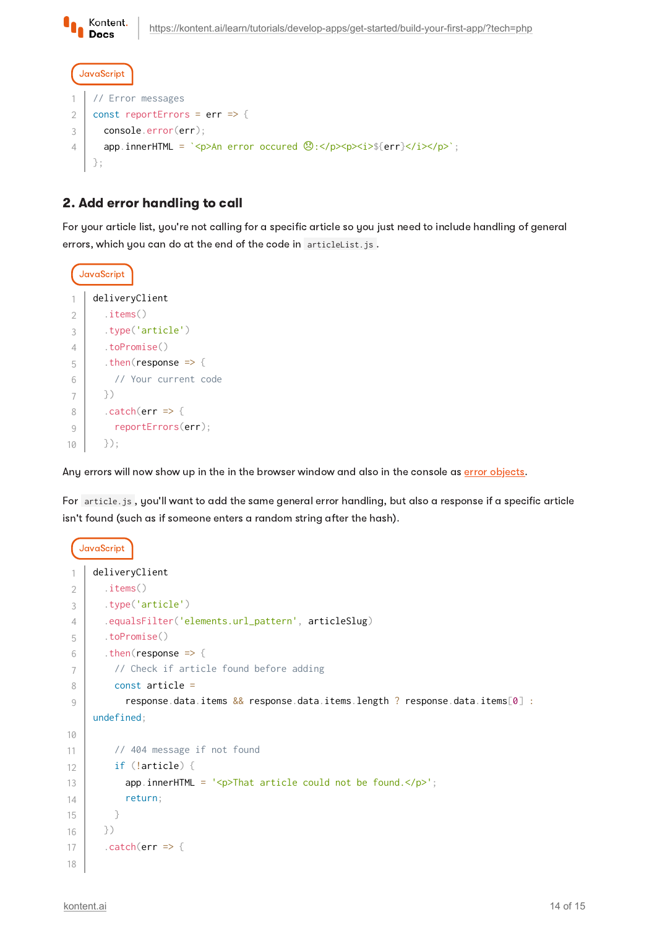Kontent. **Docs** 

```
JavaScript
    // Error messages
    const reportErrors = err => {
       console.error(err);
      app.innerHTML = `<p>An error occured \circled{B}:</p>><p><i>${err}</i></p>';
    };
1
2
3
4
```
## 2. Add error handling to call

For your article list, you're not calling for a specific article so you just need to include handling of general errors, which you can do at the end of the code in articleList.js.

```
JavaScript
     deliveryClient
         .items()
         .type('article')
         .toPromise()
        .then(response => {
           // Your current code
         })
        . \text{catch}(err \Rightarrow \{ reportErrors(err);
         });
1
2
3
\Delta5
6
 7
8
9
10
```
Any errors will now show up in the in the browser window and also in the console as error [objects.](https://kontent.ai/learn/reference/delivery-api/#tag/Errors)

For article.js , you'll want to add the same general error handling, but also a response if a specific article isn't found (such as if someone enters a random string after the hash).

```
JavaScript
     deliveryClient
         .items()
         .type('article')
         .equalsFilter('elements.url_pattern', articleSlug)
         .toPromise()
       .then(response \Rightarrow {
           // Check if article found before adding
           const article =
             response.data.items && response.data.items.length ? response.data.items[0] :
     undefined;
           // 404 message if not found
           if (!article) {
            app.innerHTML = '<p>That article could not be found.\langle p \rangle';
             return;
           }
        })
        . \text{catch}(err \Rightarrow \{1
2
3
4
5
6
7
8
9
10
11
12
13
14
15
16
17
18
```